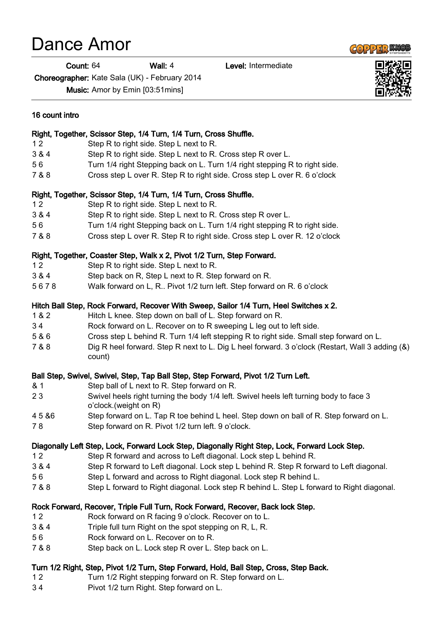## Dance Amor

Count: 64 Wall: 4 Level: Intermediate

Choreographer: Kate Sala (UK) - February 2014

Music: Amor by Emin [03:51mins]

| 16 count intro |                                                                                                                 |
|----------------|-----------------------------------------------------------------------------------------------------------------|
|                | Right, Together, Scissor Step, 1/4 Turn, 1/4 Turn, Cross Shuffle.                                               |
| 12             | Step R to right side. Step L next to R.                                                                         |
| 3 & 4          | Step R to right side. Step L next to R. Cross step R over L.                                                    |
| 56             | Turn 1/4 right Stepping back on L. Turn 1/4 right stepping R to right side.                                     |
| 7 & 8          | Cross step L over R. Step R to right side. Cross step L over R. 6 o'clock                                       |
|                | Right, Together, Scissor Step, 1/4 Turn, 1/4 Turn, Cross Shuffle.                                               |
| 12             | Step R to right side. Step L next to R.                                                                         |
| 3 & 4          | Step R to right side. Step L next to R. Cross step R over L.                                                    |
| 56             | Turn 1/4 right Stepping back on L. Turn 1/4 right stepping R to right side.                                     |
| 7 & 8          | Cross step L over R. Step R to right side. Cross step L over R. 12 o'clock                                      |
|                | Right, Together, Coaster Step, Walk x 2, Pivot 1/2 Turn, Step Forward.                                          |
| 12             | Step R to right side. Step L next to R.                                                                         |
| 3 & 4          | Step back on R, Step L next to R. Step forward on R.                                                            |
| 5678           | Walk forward on L, R Pivot 1/2 turn left. Step forward on R. 6 o'clock                                          |
|                | Hitch Ball Step, Rock Forward, Recover With Sweep, Sailor 1/4 Turn, Heel Switches x 2.                          |
| 1 & 2          | Hitch L knee. Step down on ball of L. Step forward on R.                                                        |
| 34             | Rock forward on L. Recover on to R sweeping L leg out to left side.                                             |
| 5 & 6          | Cross step L behind R. Turn 1/4 left stepping R to right side. Small step forward on L.                         |
| 7 & 8          | Dig R heel forward. Step R next to L. Dig L heel forward. 3 o'clock (Restart, Wall 3 adding (&)<br>count)       |
|                | Ball Step, Swivel, Swivel, Step, Tap Ball Step, Step Forward, Pivot 1/2 Turn Left.                              |
| & 1            | Step ball of L next to R. Step forward on R.                                                                    |
| 23             | Swivel heels right turning the body 1/4 left. Swivel heels left turning body to face 3<br>o'clock.(weight on R) |
| 45 & 6         | Step forward on L. Tap R toe behind L heel. Step down on ball of R. Step forward on L.                          |
| 78             | Step forward on R. Pivot 1/2 turn left. 9 o'clock.                                                              |
|                | Diagonally Left Step, Lock, Forward Lock Step, Diagonally Right Step, Lock, Forward Lock Step.                  |
| 12             | Step R forward and across to Left diagonal. Lock step L behind R.                                               |
| 3 & 4          | Step R forward to Left diagonal. Lock step L behind R. Step R forward to Left diagonal.                         |
| 56             | Step L forward and across to Right diagonal. Lock step R behind L.                                              |
| 7 & 8          | Step L forward to Right diagonal. Lock step R behind L. Step L forward to Right diagonal.                       |
|                | Rock Forward, Recover, Triple Full Turn, Rock Forward, Recover, Back lock Step.                                 |
| 12             | Rock forward on R facing 9 o'clock. Recover on to L.                                                            |
| 3 & 4          | Triple full turn Right on the spot stepping on R, L, R.                                                         |
| 56             | Rock forward on L. Recover on to R.                                                                             |
| 7 & 8          | Step back on L. Lock step R over L. Step back on L.                                                             |
|                | Turn 1/2 Right, Step, Pivot 1/2 Turn, Step Forward, Hold, Ball Step, Cross, Step Back.                          |
| 12             | Turn 1/2 Right stepping forward on R. Step forward on L.                                                        |
| 34             | Pivot 1/2 turn Right. Step forward on L.                                                                        |



**COPPER KNOB**